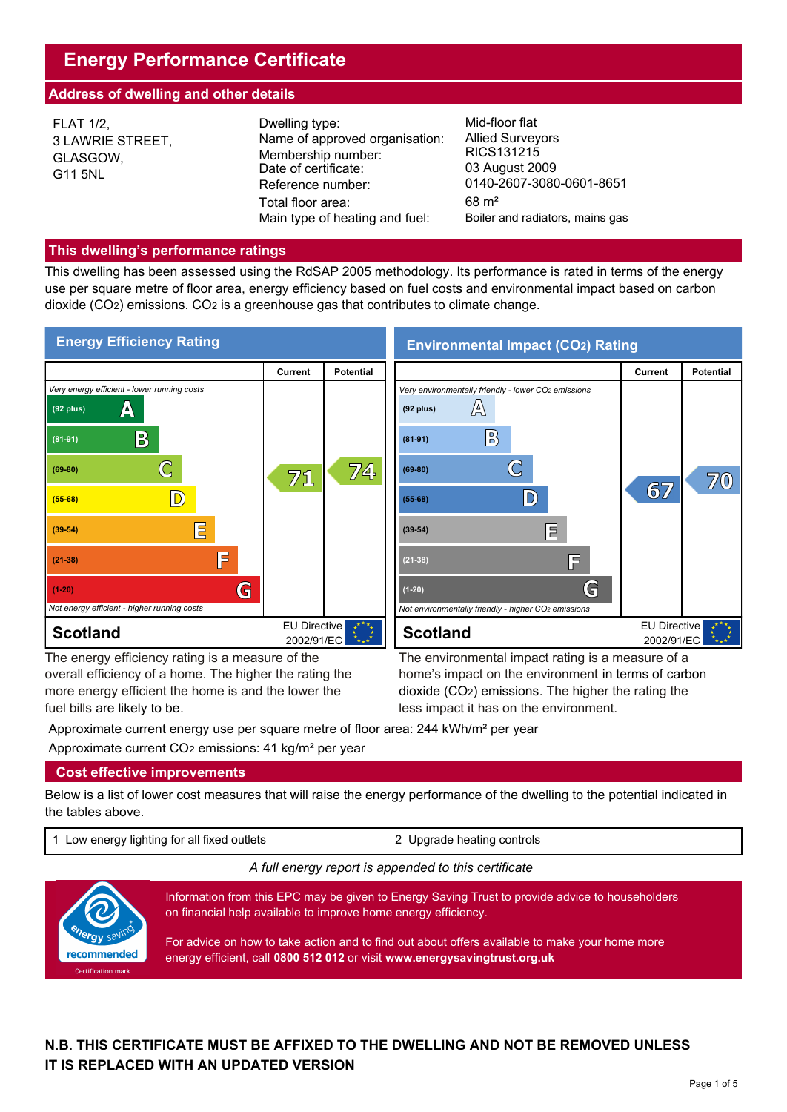# **Energy Performance Certificate**

# **Address of dwelling and other details**

| <b>FLAT 1/2,</b><br>3 LAWRIE STREET,<br>GLASGOW,<br>G11 5NL | Dwelling type:<br>Name of approved organisation:<br>Membership number:<br>Date of certificate:<br>Reference number:<br>Total floor area:<br>Main type of heating and fuel: | Mid-floor flat<br><b>Allied Surveyors</b><br>RICS131215<br>03 August 2009<br>0140-2607-3080-0601-8651<br>$68 \text{ m}^2$<br>Boiler and radiators, mains gas |
|-------------------------------------------------------------|----------------------------------------------------------------------------------------------------------------------------------------------------------------------------|--------------------------------------------------------------------------------------------------------------------------------------------------------------|
|-------------------------------------------------------------|----------------------------------------------------------------------------------------------------------------------------------------------------------------------------|--------------------------------------------------------------------------------------------------------------------------------------------------------------|

## **This dwelling's performance ratings**

This dwelling has been assessed using the RdSAP 2005 methodology. Its performance is rated in terms of the energy use per square metre of floor area, energy efficiency based on fuel costs and environmental impact based on carbon dioxide (CO2) emissions. CO2 is a greenhouse gas that contributes to climate change.



The energy efficiency rating is a measure of the overall efficiency of a home. The higher the rating the more energy efficient the home is and the lower the fuel bills are likely to be.

The environmental impact rating is a measure of a home's impact on the environment in terms of carbon dioxide (CO2) emissions. The higher the rating the less impact it has on the environment.

Approximate current energy use per square metre of floor area: 244 kWh/m<sup>2</sup> per year Approximate current CO2 emissions: 41 kg/m² per year

# **Cost effective improvements**

Below is a list of lower cost measures that will raise the energy performance of the dwelling to the potential indicated in the tables above.

1 Low energy lighting for all fixed outlets 2 Upgrade heating controls

## *A full energy report is appended to this certificate*



Information from this EPC may be given to Energy Saving Trust to provide advice to householders on financial help available to improve home energy efficiency.

For advice on how to take action and to find out about offers available to make your home more energy efficient, call **0800 512 012** or visit **www.energysavingtrust.org.uk**

# **N.B. THIS CERTIFICATE MUST BE AFFIXED TO THE DWELLING AND NOT BE REMOVED UNLESS IT IS REPLACED WITH AN UPDATED VERSION**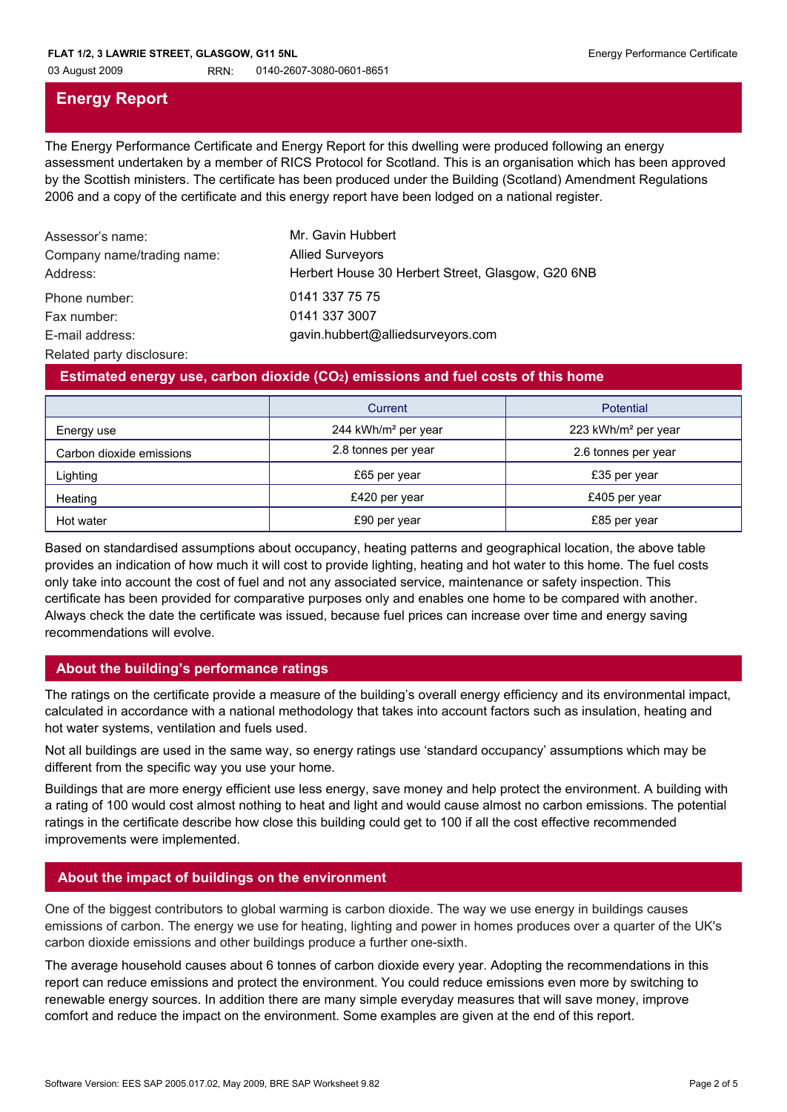03 August 2009 RRN: 0140-2607-3080-0601-8651

# **Energy Report**

The Energy Performance Certificate and Energy Report for this dwelling were produced following an energy assessment undertaken by a member of RICS Protocol for Scotland. This is an organisation which has been approved by the Scottish ministers. The certificate has been produced under the Building (Scotland) Amendment Regulations 2006 and a copy of the certificate and this energy report have been lodged on a national register.

| Assessor's name:<br>Company name/trading name:<br>Address: | Mr. Gavin Hubbert<br><b>Allied Surveyors</b><br>Herbert House 30 Herbert Street, Glasgow, G20 6NB |
|------------------------------------------------------------|---------------------------------------------------------------------------------------------------|
| Phone number:                                              | 0141 337 75 75                                                                                    |
| Fax number:                                                | 0141 337 3007                                                                                     |
| E-mail address:                                            | gavin.hubbert@alliedsurveyors.com                                                                 |

Related party disclosure:

## **Estimated energy use, carbon dioxide (CO2) emissions and fuel costs of this home**

|                          | Current                         | Potential                       |
|--------------------------|---------------------------------|---------------------------------|
| Energy use               | 244 kWh/m <sup>2</sup> per year | 223 kWh/m <sup>2</sup> per year |
| Carbon dioxide emissions | 2.8 tonnes per year             | 2.6 tonnes per year             |
| Lighting                 | £65 per year                    | £35 per year                    |
| Heating                  | £420 per year                   | £405 per year                   |
| Hot water                | £90 per year                    | £85 per year                    |

Based on standardised assumptions about occupancy, heating patterns and geographical location, the above table provides an indication of how much it will cost to provide lighting, heating and hot water to this home. The fuel costs only take into account the cost of fuel and not any associated service, maintenance or safety inspection. This certificate has been provided for comparative purposes only and enables one home to be compared with another. Always check the date the certificate was issued, because fuel prices can increase over time and energy saving recommendations will evolve.

# **About the building's performance ratings**

The ratings on the certificate provide a measure of the building's overall energy efficiency and its environmental impact, calculated in accordance with a national methodology that takes into account factors such as insulation, heating and hot water systems, ventilation and fuels used.

Not all buildings are used in the same way, so energy ratings use 'standard occupancy' assumptions which may be different from the specific way you use your home.

Buildings that are more energy efficient use less energy, save money and help protect the environment. A building with a rating of 100 would cost almost nothing to heat and light and would cause almost no carbon emissions. The potential ratings in the certificate describe how close this building could get to 100 if all the cost effective recommended improvements were implemented.

# **About the impact of buildings on the environment**

One of the biggest contributors to global warming is carbon dioxide. The way we use energy in buildings causes emissions of carbon. The energy we use for heating, lighting and power in homes produces over a quarter of the UK's carbon dioxide emissions and other buildings produce a further one-sixth.

The average household causes about 6 tonnes of carbon dioxide every year. Adopting the recommendations in this report can reduce emissions and protect the environment. You could reduce emissions even more by switching to renewable energy sources. In addition there are many simple everyday measures that will save money, improve comfort and reduce the impact on the environment. Some examples are given at the end of this report.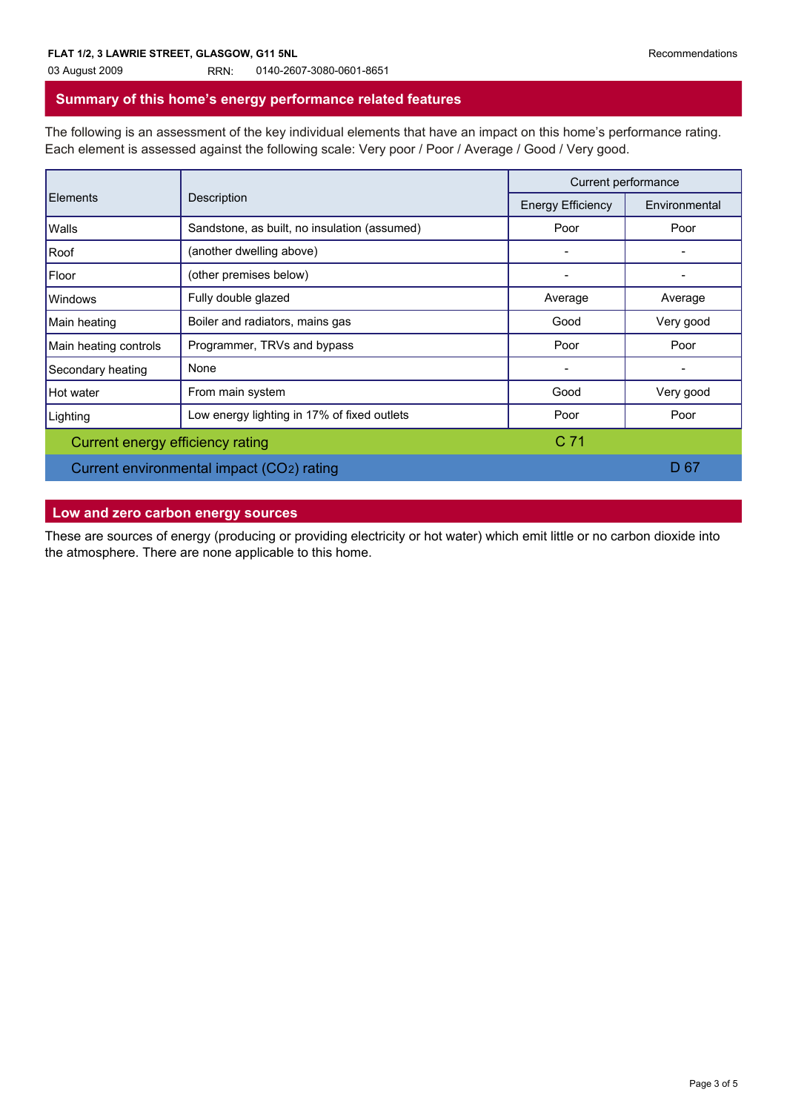#### 03 August 2009 RRN: 0140-2607-3080-0601-8651

### **Summary of this home's energy performance related features**

The following is an assessment of the key individual elements that have an impact on this home's performance rating. Each element is assessed against the following scale: Very poor / Poor / Average / Good / Very good.

| Elements                         | Description                                  | Current performance      |               |
|----------------------------------|----------------------------------------------|--------------------------|---------------|
|                                  |                                              | <b>Energy Efficiency</b> | Environmental |
| Walls                            | Sandstone, as built, no insulation (assumed) | Poor                     | Poor          |
| Roof                             | (another dwelling above)                     |                          |               |
| Floor                            | (other premises below)                       |                          |               |
| <b>Windows</b>                   | Fully double glazed                          | Average                  | Average       |
| Main heating                     | Boiler and radiators, mains gas              | Good                     | Very good     |
| Main heating controls            | Programmer, TRVs and bypass                  | Poor                     | Poor          |
| Secondary heating                | None                                         |                          | -             |
| Hot water                        | From main system                             | Good                     | Very good     |
| Lighting                         | Low energy lighting in 17% of fixed outlets  | Poor                     | Poor          |
| Current energy efficiency rating |                                              | C <sub>71</sub>          |               |
|                                  | Current environmental impact (CO2) rating    |                          | D 67          |

# **Low and zero carbon energy sources**

These are sources of energy (producing or providing electricity or hot water) which emit little or no carbon dioxide into the atmosphere. There are none applicable to this home.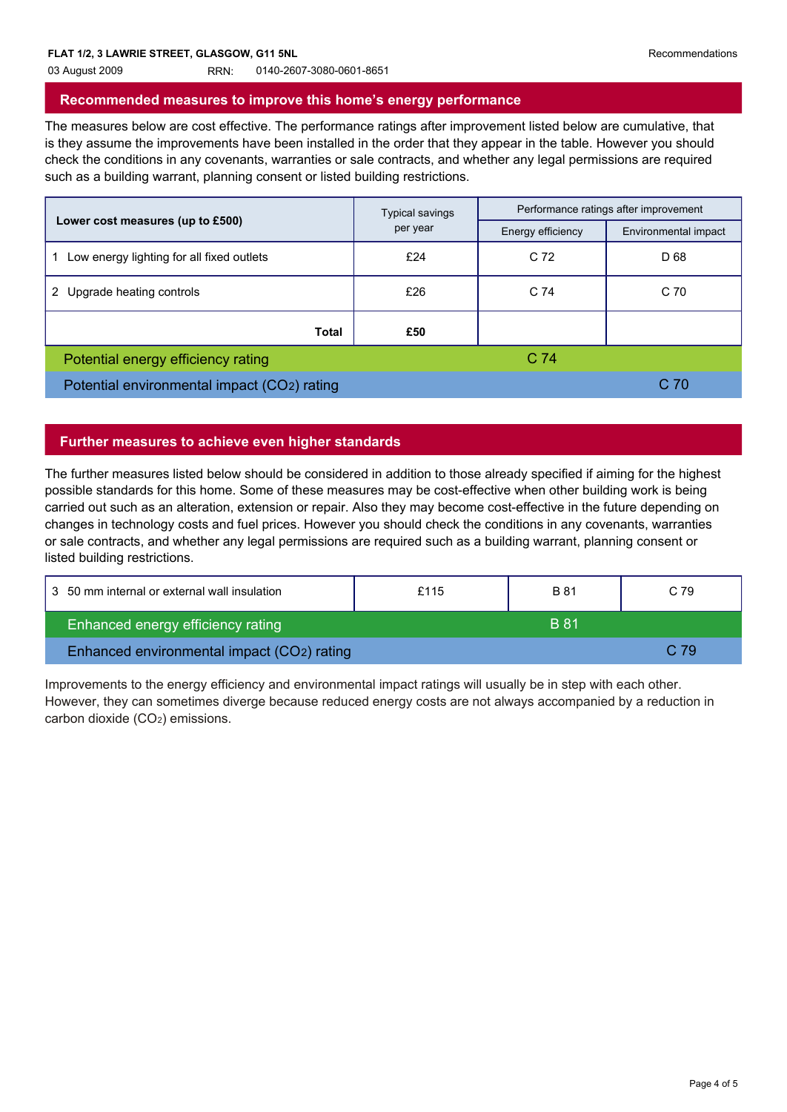#### 03 August 2009 RRN: 0140-2607-3080-0601-8651

## **Recommended measures to improve this home's energy performance**

The measures below are cost effective. The performance ratings after improvement listed below are cumulative, that is they assume the improvements have been installed in the order that they appear in the table. However you should check the conditions in any covenants, warranties or sale contracts, and whether any legal permissions are required such as a building warrant, planning consent or listed building restrictions.

|                                             | <b>Typical savings</b>        | Performance ratings after improvement |                      |
|---------------------------------------------|-------------------------------|---------------------------------------|----------------------|
| Lower cost measures (up to £500)            | per year<br>Energy efficiency |                                       | Environmental impact |
| Low energy lighting for all fixed outlets   | £24                           | C 72                                  | D 68                 |
| Upgrade heating controls                    | £26                           | C 74                                  | C 70                 |
| Total                                       | £50                           |                                       |                      |
| Potential energy efficiency rating          |                               | C <sub>74</sub>                       |                      |
| Potential environmental impact (CO2) rating |                               |                                       | C 70                 |

# **Further measures to achieve even higher standards**

The further measures listed below should be considered in addition to those already specified if aiming for the highest possible standards for this home. Some of these measures may be cost-effective when other building work is being carried out such as an alteration, extension or repair. Also they may become cost-effective in the future depending on changes in technology costs and fuel prices. However you should check the conditions in any covenants, warranties or sale contracts, and whether any legal permissions are required such as a building warrant, planning consent or listed building restrictions.

| 3 50 mm internal or external wall insulation | £115 | <b>B</b> 81 | C.79 |
|----------------------------------------------|------|-------------|------|
| Enhanced energy efficiency rating            |      | <b>B</b> 81 |      |
| Enhanced environmental impact (CO2) rating   |      |             | C.79 |

Improvements to the energy efficiency and environmental impact ratings will usually be in step with each other. However, they can sometimes diverge because reduced energy costs are not always accompanied by a reduction in carbon dioxide (CO2) emissions.